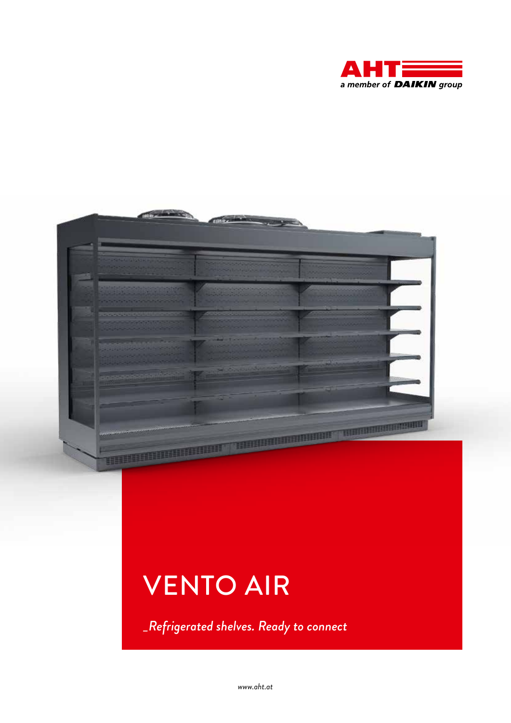



# VENTO AIR

*\_Refrigerated shelves. Ready to connect*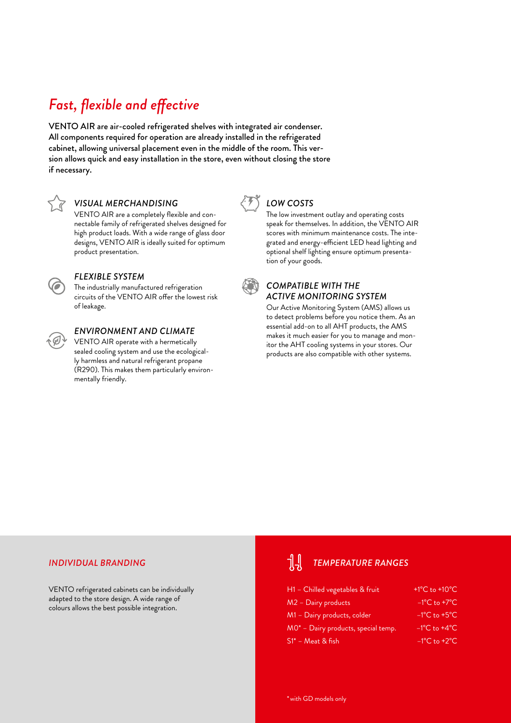# *Fast, flexible and effective*

VENTO AIR are air-cooled refrigerated shelves with integrated air condenser. All components required for operation are already installed in the refrigerated cabinet, allowing universal placement even in the middle of the room. This version allows quick and easy installation in the store, even without closing the store if necessary.



#### *VISUAL MERCHANDISING*

VENTO AIR are a completely flexible and connectable family of refrigerated shelves designed for high product loads. With a wide range of glass door designs, VENTO AIR is ideally suited for optimum product presentation.



### *FLEXIBLE SYSTEM*

The industrially manufactured refrigeration circuits of the VENTO AIR offer the lowest risk of leakage.



# *ENVIRONMENT AND CLIMATE*

VENTO AIR operate with a hermetically sealed cooling system and use the ecologically harmless and natural refrigerant propane (R290). This makes them particularly environmentally friendly.



# *LOW COSTS*

The low investment outlay and operating costs speak for themselves. In addition, the VENTO AIR scores with minimum maintenance costs. The integrated and energy-efficient LED head lighting and optional shelf lighting ensure optimum presentation of your goods.



#### *COMPATIBLE WITH THE ACTIVE MONITORING SYSTEM*

Our Active Monitoring System (AMS) allows us to detect problems before you notice them. As an essential add-on to all AHT products, the AMS makes it much easier for you to manage and monitor the AHT cooling systems in your stores. Our products are also compatible with other systems.

#### *INDIVIDUAL BRANDING*

VENTO refrigerated cabinets can be individually adapted to the store design. A wide range of colours allows the best possible integration.

# *TEMPERATURE RANGES*

| H1 - Chilled vegetables & fruit     | $+1^{\circ}$ C to $+10^{\circ}$ C |
|-------------------------------------|-----------------------------------|
| M2 - Dairy products                 | $-1^{\circ}$ C to +7 $^{\circ}$ C |
| M1 - Dairy products, colder         | $-1^{\circ}$ C to +5 $^{\circ}$ C |
| MO* - Dairy products, special temp. | $-1^{\circ}$ C to +4 $^{\circ}$ C |
| $S1^*$ – Meat & fish                | $-1^{\circ}$ C to +2 $^{\circ}$ C |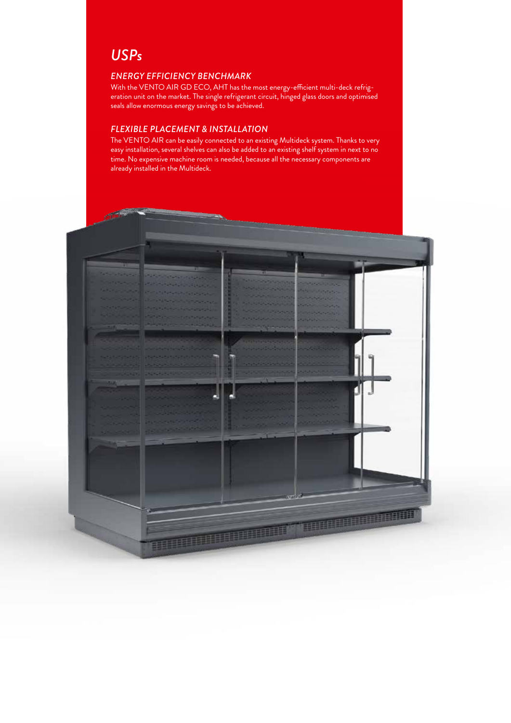# *USPs*

# *ENERGY EFFICIENCY BENCHMARK*

With the VENTO AIR GD ECO, AHT has the most energy-efficient multi-deck refrigeration unit on the market. The single refrigerant circuit, hinged glass doors and optimised seals allow enormous energy savings to be achieved.

### *FLEXIBLE PLACEMENT & INSTALLATION*

The VENTO AIR can be easily connected to an existing Multideck system. Thanks to very easy installation, several shelves can also be added to an existing shelf system in next to no time. No expensive machine room is needed, because all the necessary components are already installed in the Multideck.

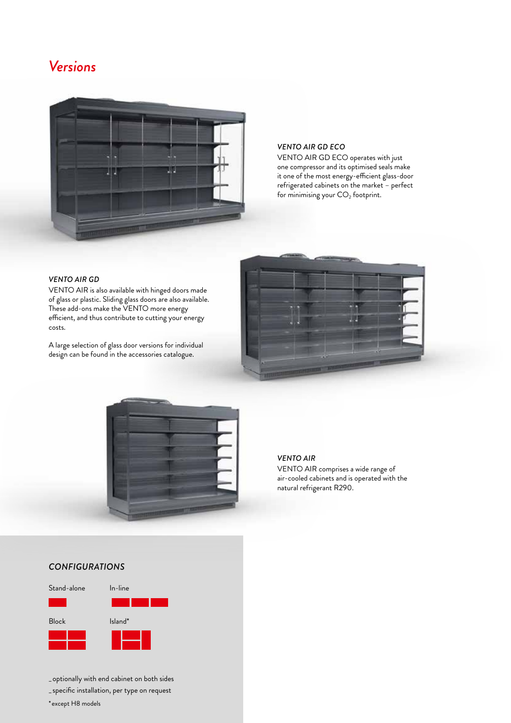# *Versions*



### *VENTO AIR GD ECO*

VENTO AIR GD ECO operates with just one compressor and its optimised seals make it one of the most energy-efficient glass-door refrigerated cabinets on the market – perfect for minimising your  $CO<sub>2</sub>$  footprint.

#### *VENTO AIR GD*

VENTO AIR is also available with hinged doors made of glass or plastic. Sliding glass doors are also available. These add-ons make the VENTO more energy efficient, and thus contribute to cutting your energy costs.

A large selection of glass door versions for individual design can be found in the accessories catalogue.





#### *VENTO AIR*

VENTO AIR comprises a wide range of air-cooled cabinets and is operated with the natural refrigerant R290.

#### *CONFIGURATIONS*



\_ optionally with end cabinet on both sides

\_specific installation, per type on request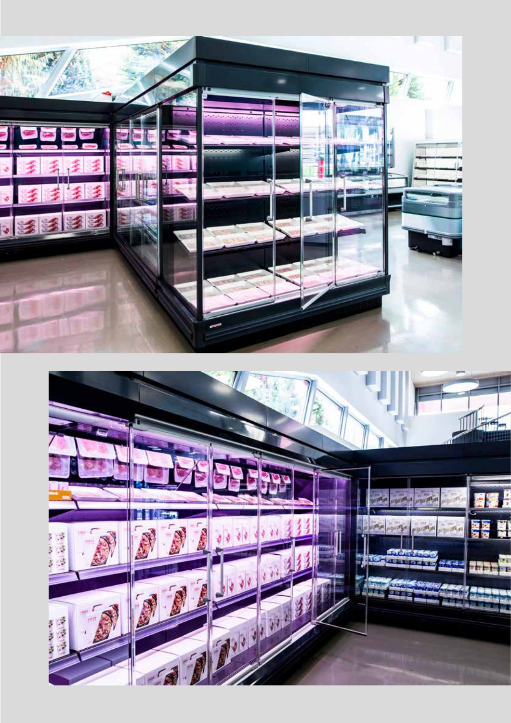